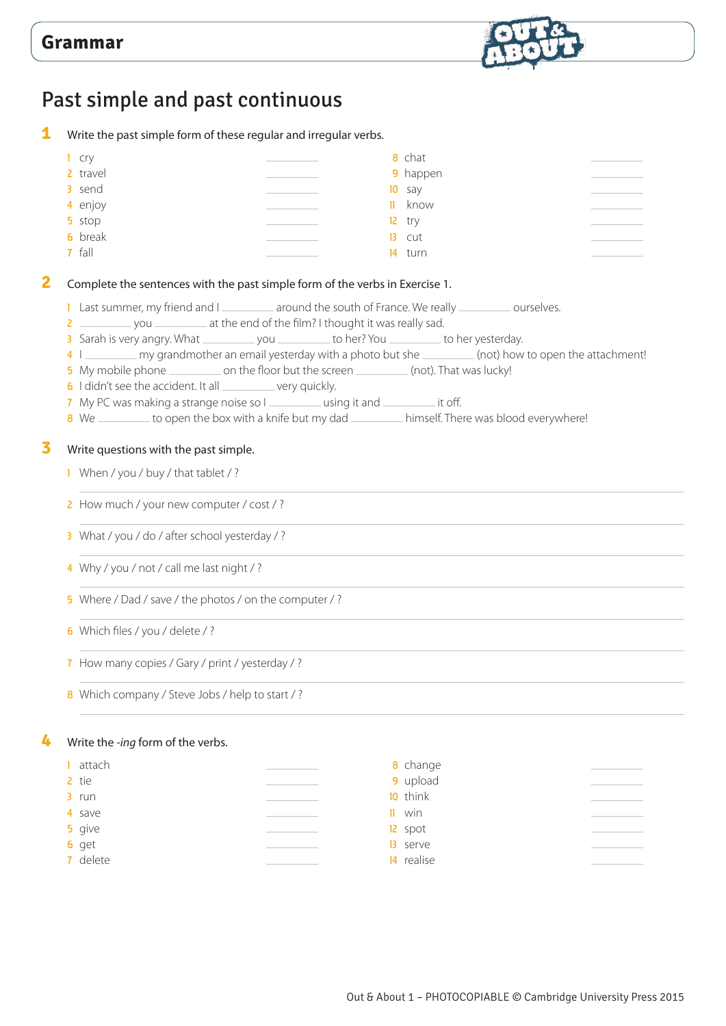

## Past simple and past continuous

**1** Write the past simple form of these regular and irregular verbs.

| cry            |    | 8 chat   |  |
|----------------|----|----------|--|
| 2 travel       |    | 9 happen |  |
| 3 send         |    | $10$ say |  |
| 4 enjoy        | H. | know     |  |
| 5 stop         |    | $12$ try |  |
| <b>6</b> break |    | $13$ cut |  |
| 7 fall         |    | 14 turn  |  |

1 Last summer, my friend and I \_\_\_\_\_\_\_\_ around the south of France. We really \_\_\_\_\_\_\_ ourselves.

- 2 \_\_\_\_\_\_\_\_\_\_\_ you \_\_\_\_\_\_\_\_\_\_ at the end of the film? I thought it was really sad.
- 3 Sarah is very angry. What \_\_\_\_\_\_\_\_\_\_ you \_\_\_\_\_\_\_\_ to her? You \_\_\_\_\_\_\_\_\_ to her yesterday.
- 4 I my grandmother an email yesterday with a photo but she (not) how to open the attachment!
- 5 My mobile phone \_\_\_\_\_\_\_\_\_\_\_ on the floor but the screen \_\_\_\_\_\_\_\_\_\_ (not). That was lucky!
- 6 I didn't see the accident. It all very quickly.
- 7 My PC was making a strange noise so I using it and uncontained it off.
- 8 We to open the box with a knife but my dad himself. There was blood everywhere!

#### **3** Write questions with the past simple.

- 1 When / you / buy / that tablet / ?
- 2 How much / your new computer / cost / ?
- 3 What / you / do / after school yesterday / ?
- 4 Why / you / not / call me last night / ?
- 5 Where / Dad / save / the photos / on the computer / ?
- 6 Which files / you / delete / ?
- 7 How many copies / Gary / print / yesterday / ?
- 8 Which company / Steve Jobs / help to start / ?

#### **4** Write the *-ing* form of the verbs.

| attach   | <b>8</b> change   |  |
|----------|-------------------|--|
| 2 tie    | 9 upload          |  |
| $3$ run  | 10 think          |  |
| 4 save   | $\mathbf{II}$ win |  |
| 5 give   | 12 spot           |  |
| 6 get    | 13 serve          |  |
| 7 delete | 14 realise        |  |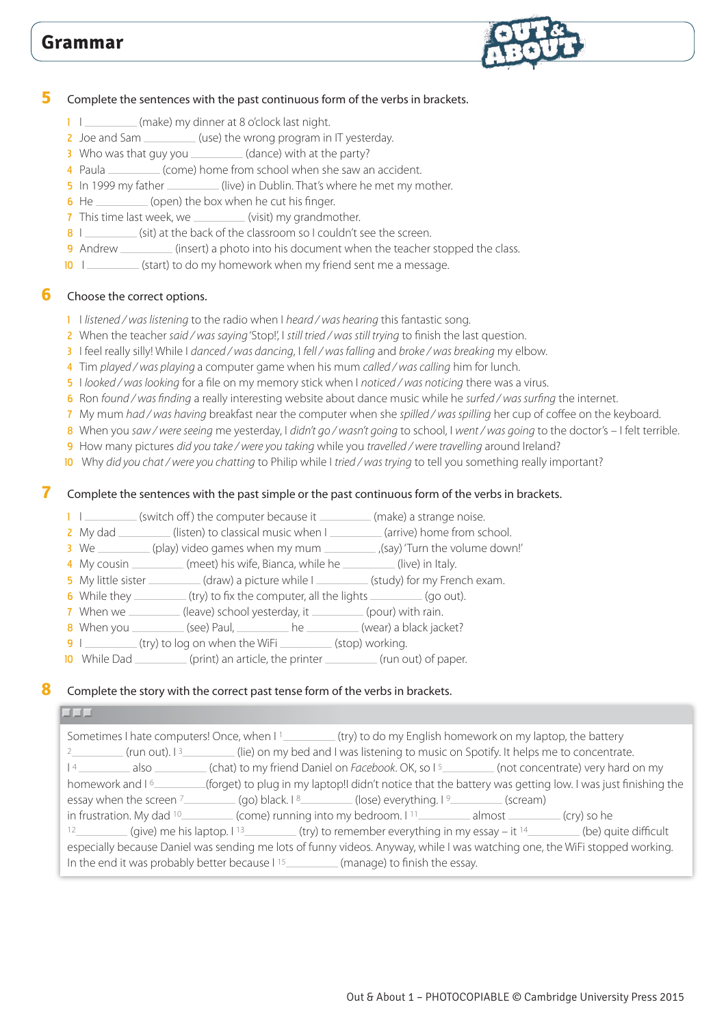

#### **5** Complete the sentences with the past continuous form of the verbs in brackets.

- 1 I (make) my dinner at 8 o'clock last night.
- 2 Joe and Sam \_\_\_\_\_\_\_\_(use) the wrong program in IT yesterday.
- 3 Who was that guy you \_\_\_\_\_\_\_\_\_(dance) with at the party?
- 4 Paula (come) home from school when she saw an accident.
- 5 In 1999 my father (live) in Dublin. That's where he met my mother.
- $\overline{6}$  He  $\overline{\phantom{1}}$  (open) the box when he cut his finger.
- 7 This time last week, we  $\frac{1}{2}$  (visit) my grandmother.
- 8 I \_\_\_\_\_\_\_\_\_\_ (sit) at the back of the classroom so I couldn't see the screen.
- 9 Andrew (insert) a photo into his document when the teacher stopped the class.
- 10 I (start) to do my homework when my friend sent me a message.

#### **6** Choose the correct options.

- 1 I *listened / was listening* to the radio when I *heard / was hearing* this fantastic song.
- 2 When the teacher *said / was saying* 'Stop!', I *still tried / was still trying* to finish the last question.
- 3 I feel really silly! While I *danced / was dancing*, I *fell / was falling* and *broke / was breaking* my elbow.
- 4 Tim *played / was playing* a computer game when his mum *called / was calling* him for lunch.
- 5 I *looked / was looking* for a file on my memory stick when I *noticed / was noticing* there was a virus.
- 6 Ron *found / was finding* a really interesting website about dance music while he *surfed / was surfing* the internet.
- 7 My mum *had / was having* breakfast near the computer when she *spilled / was spilling* her cup of coffee on the keyboard.
- 8 When you *saw / were seeing* me yesterday, I *didn't go / wasn't going* to school, I *went / was going* to the doctor's I felt terrible.
- 9 How many pictures *did you take / were you taking* while you *travelled / were travelling* around Ireland?
- 10 Why *did you chat / were you chatting* to Philip while I *tried / was trying* to tell you something really important?

#### **7** Complete the sentences with the past simple or the past continuous form of the verbs in brackets.

- 1 I \_\_\_\_\_\_\_\_\_ (switch off) the computer because it \_\_\_\_\_\_\_\_\_ (make) a strange noise.
- 2 My dad (listen) to classical music when I (arrive) home from school.
- $\overline{3}$  We (play) video games when my mum  $\overline{a}$  (say) 'Turn the volume down!'
- 4 My cousin (meet) his wife, Bianca, while he (live) in Italy.
- 5 My little sister (draw) a picture while I (study) for my French exam.
- 6 While they  $(t, y)$  to fix the computer, all the lights  $($ and  $)$  (go out).
- 7 When we \_\_\_\_\_\_\_\_(leave) school yesterday, it \_\_\_\_\_\_\_\_(pour) with rain.
- 8 When you (see) Paul, he (wear) a black jacket?
- 9 I (try) to log on when the WiFi (stop) working.
- 10 While Dad (print) an article, the printer (run out) of paper.

#### **8** Complete the story with the correct past tense form of the verbs in brackets.

#### كالداك

|                                                                                                                                                                                                                       |  | Sometimes I hate computers! Once, when I 1___________(try) to do my English homework on my laptop, the battery                          |  |  |
|-----------------------------------------------------------------------------------------------------------------------------------------------------------------------------------------------------------------------|--|-----------------------------------------------------------------------------------------------------------------------------------------|--|--|
|                                                                                                                                                                                                                       |  | $\frac{2}{2}$ (run out). $\frac{3}{2}$ (lie) on my bed and I was listening to music on Spotify. It helps me to concentrate.             |  |  |
|                                                                                                                                                                                                                       |  | 14 a also _______ (chat) to my friend Daniel on Facebook. OK, so 15 ________ (not concentrate) very hard on my                          |  |  |
| homework and 16                                                                                                                                                                                                       |  | (forget) to plug in my laptop!! didn't notice that the battery was getting low. I was just finishing the                                |  |  |
|                                                                                                                                                                                                                       |  | essay when the screen <sup>7</sup> ____________(go) black. 18__________(lose) everything. 1 <sup>9</sup> __________(scream)             |  |  |
|                                                                                                                                                                                                                       |  | in frustration. My dad <sup>10</sup> ___________(come) running into my bedroom. 1 <sup>11</sup> ___________almost __________(cry) so he |  |  |
|                                                                                                                                                                                                                       |  | (give) me his laptop. 1 <sup>13</sup> (ry) to remember everything in my essay – it <sup>14</sup> (be) quite difficult                   |  |  |
| especially because Daniel was sending me lots of funny videos. Anyway, while I was watching one, the WiFi stopped working.<br>In the end it was probably better because I <sup>15</sup> (manage) to finish the essay. |  |                                                                                                                                         |  |  |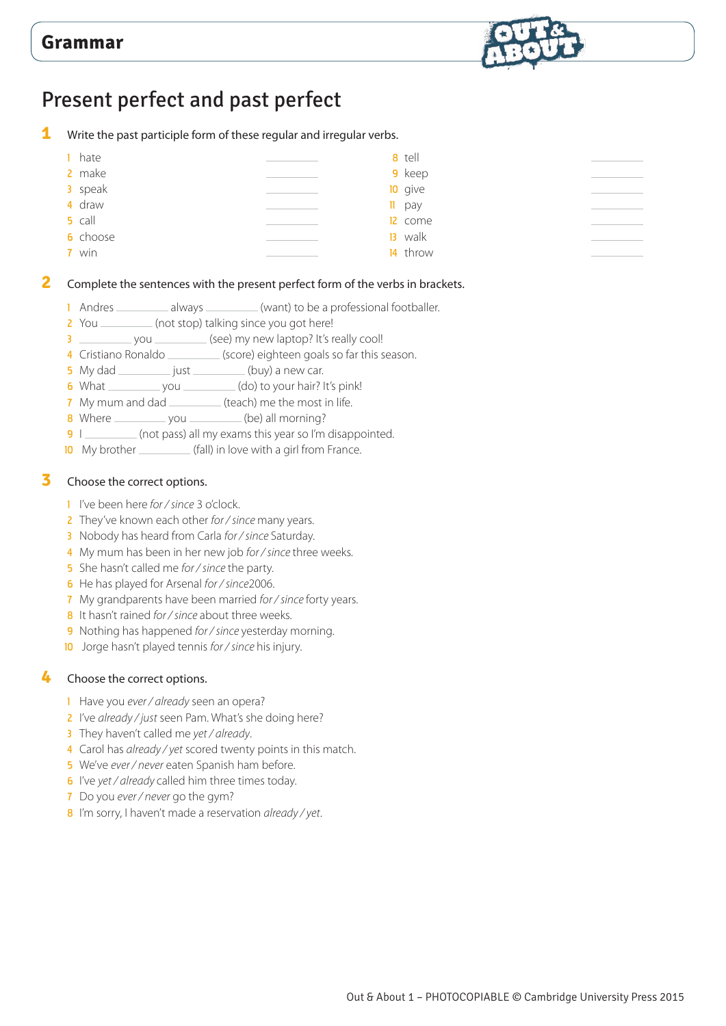

# Present perfect and past perfect

Write the past participle form of these regular and irregular verbs.



#### Complete the sentences with the present perfect form of the verbs in brackets.

- 1 Andres \_\_\_\_\_\_\_\_\_\_ always \_\_\_\_\_\_\_\_\_ (want) to be a professional footballer.
- 2 You (not stop) talking since you got here!
- 3 \_\_\_\_\_\_\_\_\_\_\_ you \_\_\_\_\_\_\_\_\_\_ (see) my new laptop? It's really cool!
- 4 Cristiano Ronaldo (score) eighteen goals so far this season.
- My dad \_\_\_\_\_\_\_\_\_\_\_\_ just \_\_\_\_\_\_\_\_\_\_ (buy) a new car.
- 6 What you \_\_\_\_\_\_\_\_ you \_\_\_\_\_\_\_\_\_\_\_\_\_\_\_\_(do) to your hair? It's pink!
- 7 My mum and dad \_\_\_\_\_\_\_\_\_\_\_ (teach) me the most in life.
- 8 Where you (be) all morning?
- 9 I \_\_\_\_\_\_\_\_\_\_ (not pass) all my exams this year so I'm disappointed.
- My brother (fall) in love with a girl from France.

#### Choose the correct options.

- I've been here *for / since* 3 o'clock.
- They've known each other *for / since* many years.
- Nobody has heard from Carla *for / since* Saturday.
- My mum has been in her new job *for / since* three weeks.
- She hasn't called me *for / since* the party.
- He has played for Arsenal *for / since*2006.
- My grandparents have been married *for / since* forty years.
- It hasn't rained *for / since* about three weeks.
- 9 Nothing has happened *for / since* yesterday morning.
- Jorge hasn't played tennis *for / since* his injury.

#### Choose the correct options.

- Have you *ever / already* seen an opera?
- I've *already / just* seen Pam. What's she doing here?
- They haven't called me *yet / already*.
- Carol has *already / yet* scored twenty points in this match.
- We've *ever / never* eaten Spanish ham before.
- I've *yet / already* called him three times today.
- Do you *ever / never* go the gym?
- I'm sorry, I haven't made a reservation *already / yet*.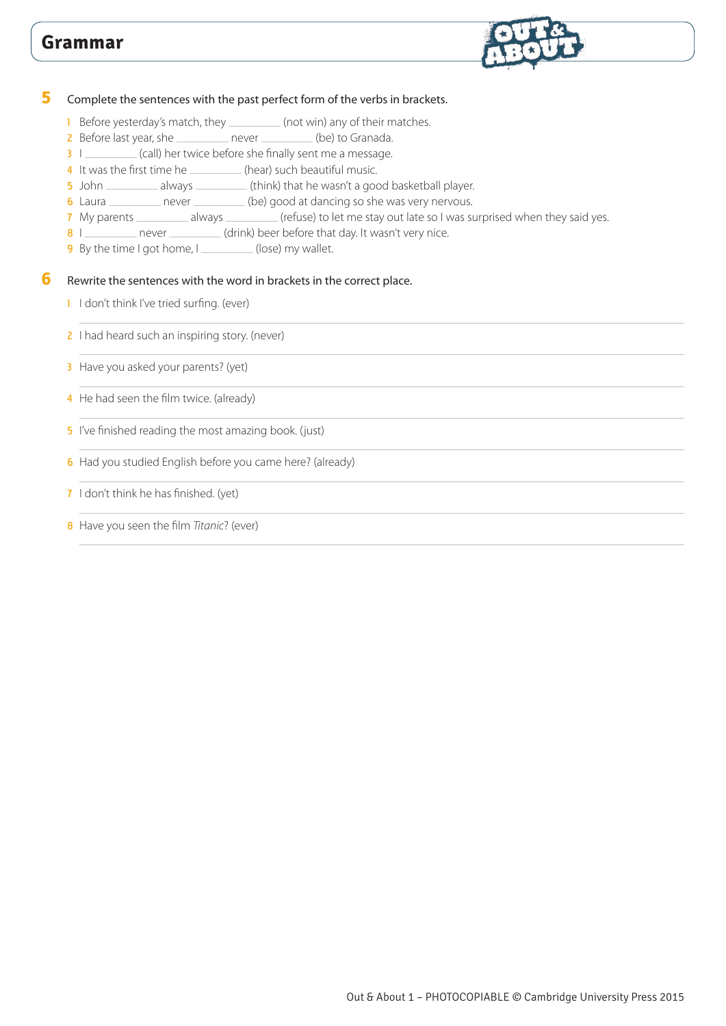

#### **5** Complete the sentences with the past perfect form of the verbs in brackets.

- 1 Before yesterday's match, they \_\_\_\_\_\_\_\_\_\_ (not win) any of their matches.
- 2 Before last year, she \_\_\_\_\_\_\_\_ never \_\_\_\_\_\_\_\_ (be) to Granada.
- 3 I \_\_\_\_\_\_\_\_\_\_ (call) her twice before she finally sent me a message.
- 4 It was the first time he \_\_\_\_\_\_\_\_(hear) such beautiful music.
- 5 John \_\_\_\_\_\_\_\_\_\_ always \_\_\_\_\_\_\_\_\_\_ (think) that he wasn't a good basketball player.
- 6 Laura \_\_\_\_\_\_\_\_ never \_\_\_\_\_\_\_\_(be) good at dancing so she was very nervous.
- 7 My parents \_\_\_\_\_\_\_\_\_ always \_\_\_\_\_\_\_\_ (refuse) to let me stay out late so I was surprised when they said yes.
- 8 I never (drink) beer before that day. It wasn't very nice.
- 9 By the time I got home, I (lose) my wallet.

#### **6** Rewrite the sentences with the word in brackets in the correct place.

- 1 I don't think I've tried surfing. (ever)
- 2 I had heard such an inspiring story. (never)

3 Have you asked your parents? (yet)

- 4 He had seen the film twice. (already)
- 5 I've finished reading the most amazing book. (just)
- 6 Had you studied English before you came here? (already)

#### 7 I don't think he has finished. (yet)

8 Have you seen the film *Titanic*? (ever)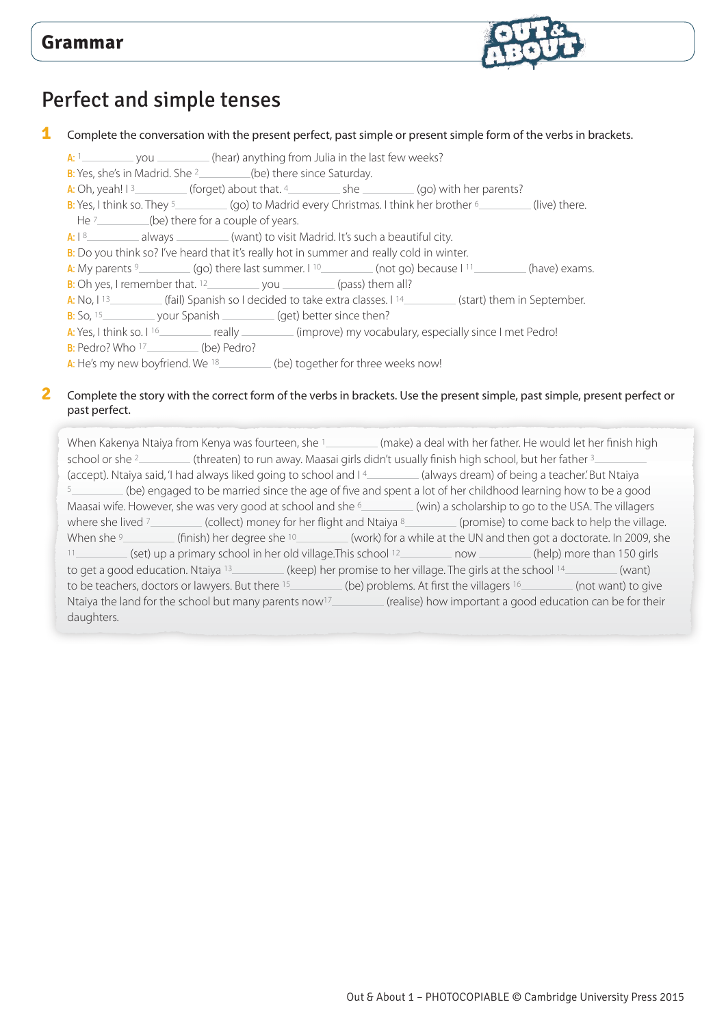

# Perfect and simple tenses

**1** Complete the conversation with the present perfect, past simple or present simple form of the verbs in brackets.

- A: 1 you (hear) anything from Julia in the last few weeks?
- B: Yes, she's in Madrid. She  $2$  (be) there since Saturday.
- A: Oh, yeah!  $1^3$  (forget) about that.  $4$  she  $\qquad$  (go) with her parents?
- B: Yes, I think so. They  $\frac{5}{2}$  (go) to Madrid every Christmas. I think her brother  $\frac{6}{2}$  (live) there.
- He  $7$  (be) there for a couple of years.
- $A: I<sup>8</sup>$  always (want) to visit Madrid. It's such a beautiful city.
- B: Do you think so? I've heard that it's really hot in summer and really cold in winter.
- A: My parents  $9$  (go) there last summer.  $1^{10}$  (not go) because  $1^{11}$  (have) exams.
- B: Oh yes, I remember that.  $12$  you  $\mu$  (pass) them all?
- A: No,  $1^{13}$  (fail) Spanish so I decided to take extra classes. I <sup>14</sup> (start) them in September.
- $B:$  So,  $15$  your Spanish (get) better since then?
- A: Yes, I think so. I <sup>16</sup> really really (improve) my vocabulary, especially since I met Pedro!

B: Pedro? Who 17\_\_\_\_\_\_\_\_\_\_(be) Pedro?

A: He's my new boyfriend. We  $18$  (be) together for three weeks now!

#### **2** Complete the story with the correct form of the verbs in brackets. Use the present simple, past simple, present perfect or past perfect.

When Kakenya Ntaiya from Kenya was fourteen, she 1 (make) a deal with her father. He would let her finish high school or she <sup>2</sup> (threaten) to run away. Maasai girls didn't usually finish high school, but her father <sup>3</sup> (accept). Ntaiya said, 'I had always liked going to school and I 4 (always dream) of being a teacher.' But Ntaiya 5 (be) engaged to be married since the age of five and spent a lot of her childhood learning how to be a good Maasai wife. However, she was very good at school and she <sup>6</sup> (win) a scholarship to go to the USA. The villagers where she lived <sup>7</sup> (collect) money for her flight and Ntaiya <sup>8</sup> (promise) to come back to help the village. When she <sup>9</sup> (finish) her degree she <sup>10</sup> (work) for a while at the UN and then got a doctorate. In 2009, she 11 (set) up a primary school in her old village. This school <sup>12</sup> now \_\_\_\_\_\_\_\_ (help) more than 150 girls to get a good education. Ntaiya <sup>13</sup> (keep) her promise to her village. The girls at the school <sup>14</sup> (want) to be teachers, doctors or lawyers. But there 15 (be) problems. At first the villagers 16 (not want) to give Ntaiya the land for the school but many parents now<sup>17</sup> (realise) how important a good education can be for their daughters.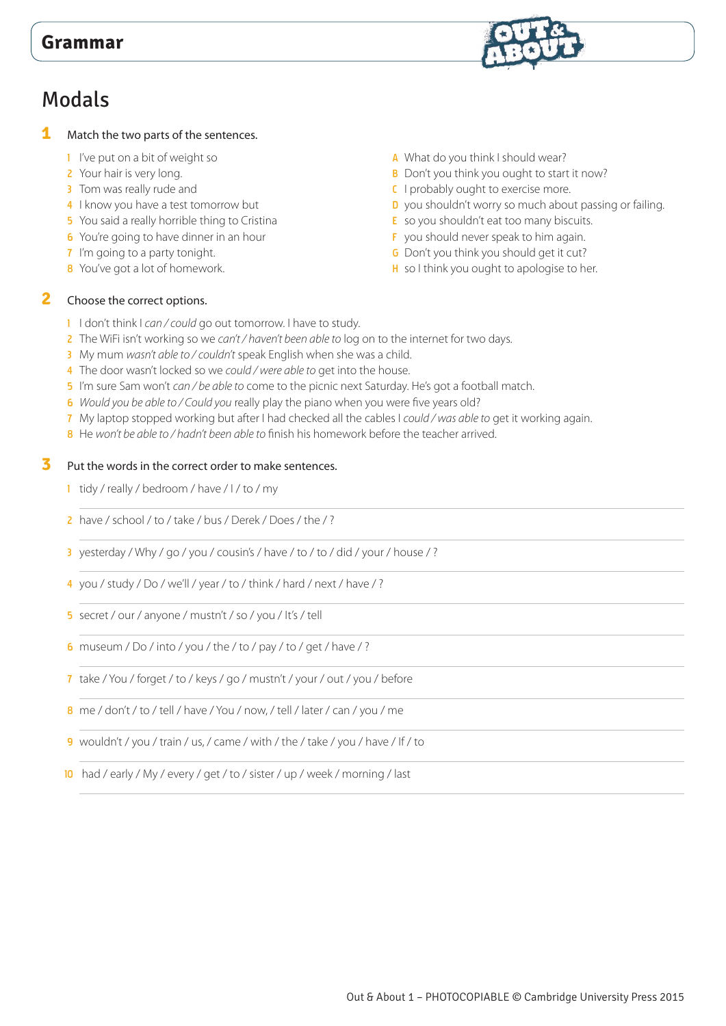# Modals

- **1** Match the two parts of the sentences.
	- 1 I've put on a bit of weight so
	- 2 Your hair is very long.
	- 3 Tom was really rude and
	- 4 I know you have a test tomorrow but
	- 5 You said a really horrible thing to Cristina
	- 6 You're going to have dinner in an hour
	- **7** I'm going to a party tonight.
	- 8 You've got a lot of homework.
- A What do you think I should wear?
- B Don't you think you ought to start it now?
- **C** I probably ought to exercise more.
- D you shouldn't worry so much about passing or failing.
- E so you shouldn't eat too many biscuits.
- F you should never speak to him again.
- G Don't you think you should get it cut?
- H so I think you ought to apologise to her.

#### **2** Choose the correct options.

- 1 I don't think I *can / could* go out tomorrow. I have to study.
- 2 The WiFi isn't working so we *can't / haven't been able to* log on to the internet for two days.
- 3 My mum *wasn't able to / couldn't* speak English when she was a child.
- 4 The door wasn't locked so we *could / were able to* get into the house.
- 5 I'm sure Sam won't *can / be able to* come to the picnic next Saturday. He's got a football match.
- 6 *Would you be able to / Could you* really play the piano when you were five years old?
- 7 My laptop stopped working but after I had checked all the cables I *could / was able to* get it working again.
- 8 He *won't be able to / hadn't been able to* finish his homework before the teacher arrived.

#### **3** Put the words in the correct order to make sentences.

- 1 tidy / really / bedroom / have / I / to / my
- 2 have / school / to / take / bus / Derek / Does / the / ?
- 3 yesterday / Why / go / you / cousin's / have / to / to / did / your / house / ?
- 4 you / study / Do / we'll / year / to / think / hard / next / have / ?
- 5 secret / our / anyone / mustn't / so / you / It's / tell
- 6 museum / Do / into / you / the / to / pay / to / get / have / ?
- 7 take / You / forget / to / keys / go / mustn't / your / out / you / before
- 8 me / don't / to / tell / have / You / now, / tell / later / can / you / me
- 9 wouldn't / you / train / us, / came / with / the / take / you / have / If / to
- 10 had / early / My / every / get / to / sister / up / week / morning / last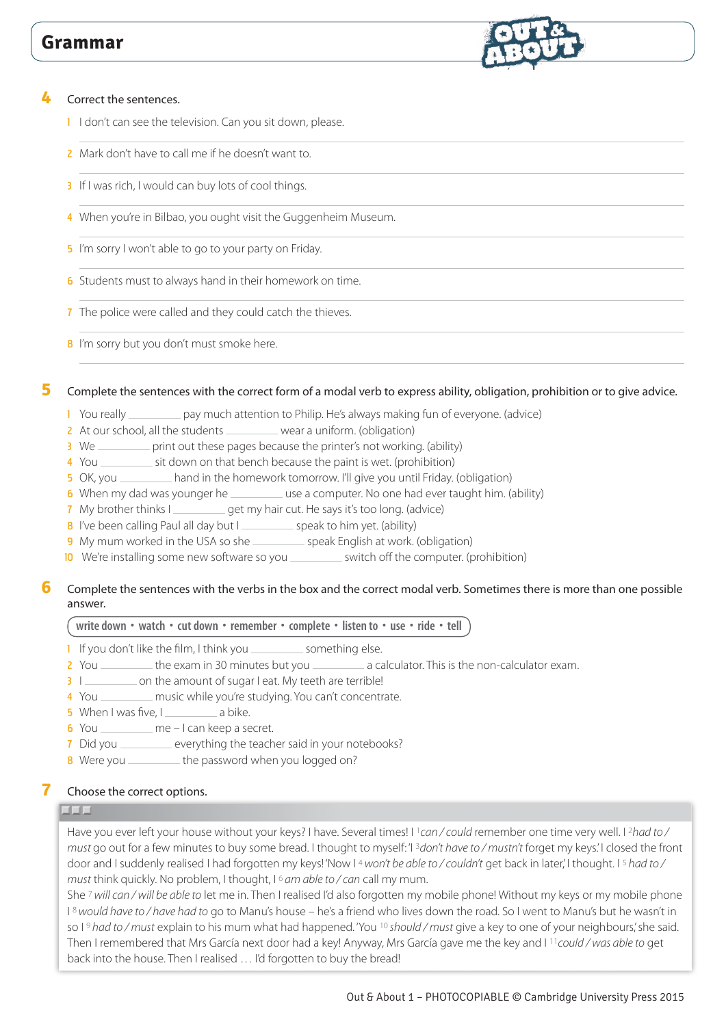

- 1 I don't can see the television. Can you sit down, please.
- 2 Mark don't have to call me if he doesn't want to.
- 3 If I was rich, I would can buy lots of cool things.
- 4 When you're in Bilbao, you ought visit the Guggenheim Museum.
- 5 I'm sorry I won't able to go to your party on Friday.
- 6 Students must to always hand in their homework on time.
- 7 The police were called and they could catch the thieves.
- 8 I'm sorry but you don't must smoke here.

**5** Complete the sentences with the correct form of a modal verb to express ability, obligation, prohibition or to give advice.

- 1 You really \_\_\_\_\_\_\_\_\_\_ pay much attention to Philip. He's always making fun of everyone. (advice)
- 2 At our school, all the students wear a uniform. (obligation)
- 3 We separation but these pages because the printer's not working. (ability)
- 4 You \_\_\_\_\_\_\_\_\_\_ sit down on that bench because the paint is wet. (prohibition)
- 5 OK, you \_\_\_\_\_\_\_\_ hand in the homework tomorrow. I'll give you until Friday. (obligation)
- 6 When my dad was younger he \_\_\_\_\_\_\_\_\_ use a computer. No one had ever taught him. (ability)
- 7 My brother thinks I get my hair cut. He says it's too long. (advice)
- 8 I've been calling Paul all day but I speak to him yet. (ability)
- 9 My mum worked in the USA so she speak English at work. (obligation)
- 10 We're installing some new software so you \_\_\_\_\_\_\_\_\_ switch off the computer. (prohibition)

#### **6** Complete the sentences with the verbs in the box and the correct modal verb. Sometimes there is more than one possible answer.

#### **write down • watch • cut down • remember • complete • listen to • use • ride • tell**

- 1 If you don't like the film, I think you \_\_\_\_\_\_\_\_\_\_\_ something else.
- 2 You \_\_\_\_\_\_\_\_\_ the exam in 30 minutes but you \_\_\_\_\_\_\_\_\_ a calculator. This is the non-calculator exam.
- 3 I common the amount of sugar I eat. My teeth are terrible!
- 4 You \_\_\_\_\_\_\_\_\_ music while you're studying. You can't concentrate.
- **5** When I was five,  $\vert$  \_\_\_\_\_\_\_\_\_\_\_\_\_\_\_ a bike.
- 6 You \_\_\_\_\_\_\_\_\_ me I can keep a secret.
- 7 Did you \_\_\_\_\_\_\_\_ everything the teacher said in your notebooks?
- 8 Were you \_\_\_\_\_\_\_\_\_\_ the password when you logged on?

#### **7** Choose the correct options.

#### لداحات

Have you ever left your house without your keys? I have. Several times! I 1*can / could* remember one time very well. I 2*had to / must* go out for a few minutes to buy some bread. I thought to myself: 'I 3*don't have to / mustn't* forget my keys.' I closed the front door and I suddenly realised I had forgotten my keys! 'Now I<sup>4</sup> *won't be able to / couldn't* get back in later,' I thought. I <sup>5</sup> had to / *must* think quickly. No problem, I thought, I 6 *am able to / can* call my mum.

She 7 *will can / will be able to* let me in. Then I realised I'd also forgotten my mobile phone! Without my keys or my mobile phone I 8 *would have to / have had to* go to Manu's house – he's a friend who lives down the road. So I went to Manu's but he wasn't in so I 9 *had to / must* explain to his mum what had happened. 'You 10 *should / must* give a key to one of your neighbours,' she said. Then I remembered that Mrs García next door had a key! Anyway, Mrs García gave me the key and I 11*could / was able to* get back into the house. Then I realised … I'd forgotten to buy the bread!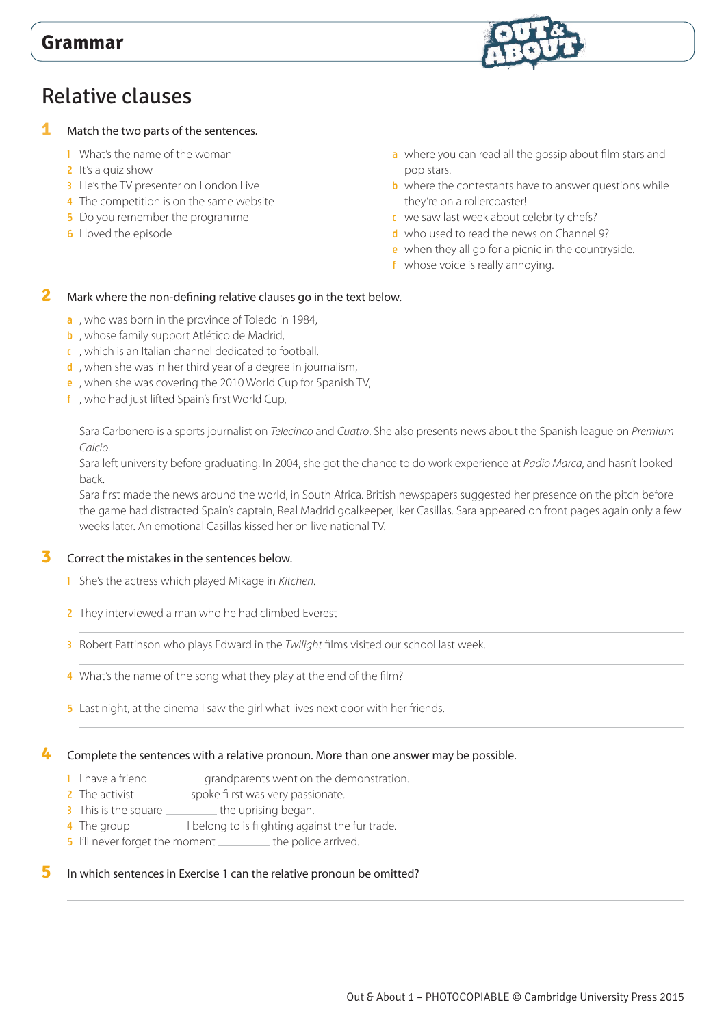## Relative clauses

#### **1** Match the two parts of the sentences.

- 1 What's the name of the woman
- 2 It's a quiz show
- 3 He's the TV presenter on London Live
- 4 The competition is on the same website
- 5 Do you remember the programme
- **6** I loved the episode
- a where you can read all the gossip about film stars and pop stars.
- **b** where the contestants have to answer questions while they're on a rollercoaster!
- c we saw last week about celebrity chefs?
- d who used to read the news on Channel 9?
- e when they all go for a picnic in the countryside.
- f whose voice is really annoying.

#### **2** Mark where the non-defining relative clauses go in the text below.

#### a , who was born in the province of Toledo in 1984,

- **b**, whose family support Atlético de Madrid,
- c , which is an Italian channel dedicated to football.
- d, when she was in her third year of a degree in journalism,
- e , when she was covering the 2010 World Cup for Spanish TV,
- f , who had just lifted Spain's first World Cup,

 Sara Carbonero is a sports journalist on *Telecinco* and *Cuatro*. She also presents news about the Spanish league on *Premium Calcio*.

Sara left university before graduating. In 2004, she got the chance to do work experience at *Radio Marca*, and hasn't looked back.

Sara first made the news around the world, in South Africa. British newspapers suggested her presence on the pitch before the game had distracted Spain's captain, Real Madrid goalkeeper, Iker Casillas. Sara appeared on front pages again only a few weeks later. An emotional Casillas kissed her on live national TV.

#### **3** Correct the mistakes in the sentences below.

- 1 She's the actress which played Mikage in *Kitchen*.
- 2 They interviewed a man who he had climbed Everest
- 3 Robert Pattinson who plays Edward in the *Twilight* films visited our school last week.
- 4 What's the name of the song what they play at the end of the film?
- 5 Last night, at the cinema I saw the girl what lives next door with her friends.

#### **4** Complete the sentences with a relative pronoun. More than one answer may be possible.

- 1 I have a friend \_\_\_\_\_\_\_\_\_\_\_ grandparents went on the demonstration.
- 2 The activist \_\_\_\_\_\_\_\_\_\_\_ spoke fi rst was very passionate.
- 3 This is the square the uprising began.
- 4 The group \_\_\_\_\_\_\_\_\_\_ I belong to is fi ghting against the fur trade.
- 5 I'll never forget the moment \_\_\_\_\_\_\_\_\_ the police arrived.

#### **5** In which sentences in Exercise 1 can the relative pronoun be omitted?

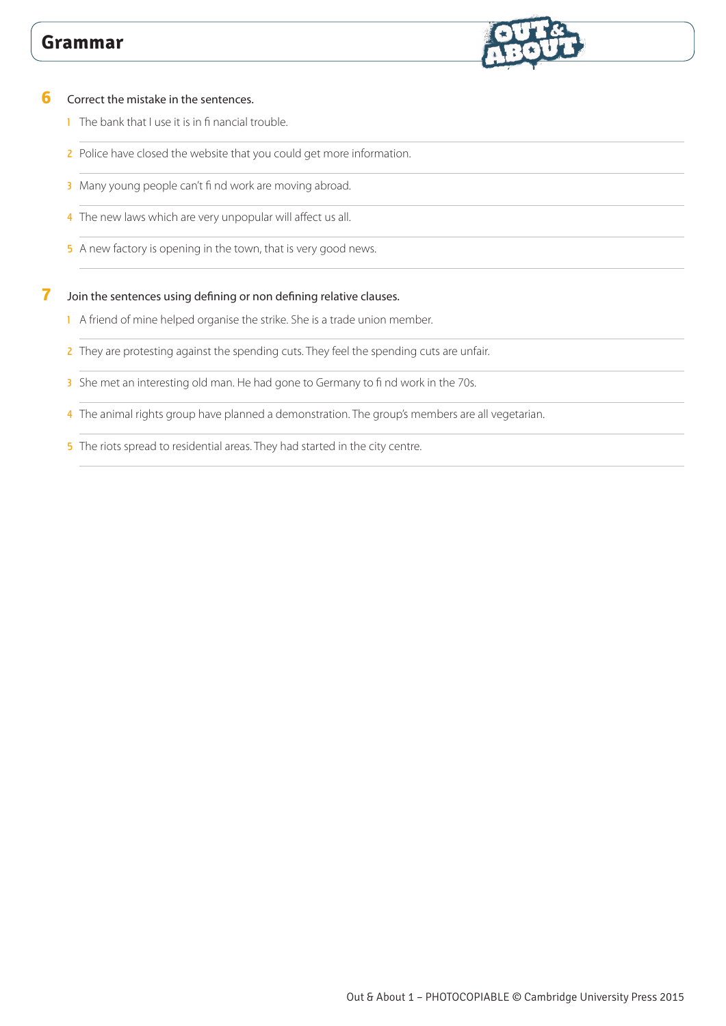

#### **6** Correct the mistake in the sentences.

- 1 The bank that I use it is in fi nancial trouble.
- 2 Police have closed the website that you could get more information.
- 3 Many young people can't find work are moving abroad.
- 4 The new laws which are very unpopular will affect us all.
- 5 A new factory is opening in the town, that is very good news.

#### **7** Join the sentences using defining or non defining relative clauses.

- 1 A friend of mine helped organise the strike. She is a trade union member.
- 2 They are protesting against the spending cuts. They feel the spending cuts are unfair.
- 3 She met an interesting old man. He had gone to Germany to find work in the 70s.
- 4 The animal rights group have planned a demonstration. The group's members are all vegetarian.
- 5 The riots spread to residential areas. They had started in the city centre.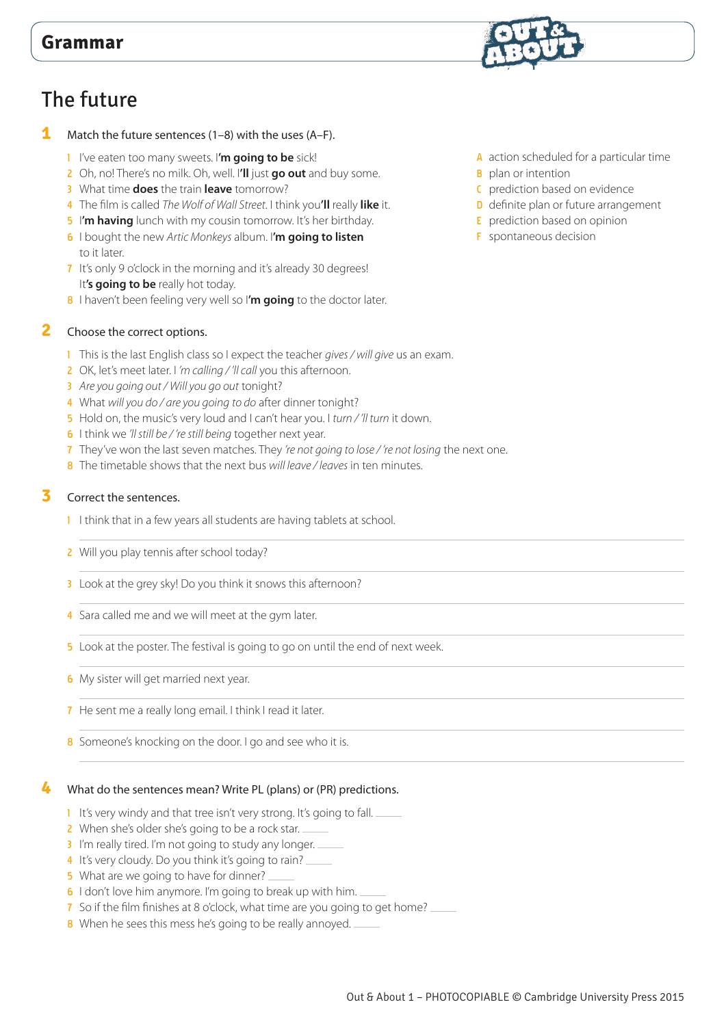# The future

#### **1** Match the future sentences (1–8) with the uses (A–F).

- 1 I've eaten too many sweets. I**'m going to be** sick!
- 2 Oh, no! There's no milk. Oh, well. I**'ll** just **go out** and buy some.
- 3 What time **does** the train **leave** tomorrow?
- 4 The film is called *The Wolf of Wall Street*. I think you**'ll** really **like** it.
- 5 I**'m having** lunch with my cousin tomorrow. It's her birthday.
- 6 I bought the new *Artic Monkeys* album. I**'m going to listen** to it later.
- 7 It's only 9 o'clock in the morning and it's already 30 degrees! It's going to be really hot today.
- 8 I haven't been feeling very well so I'm going to the doctor later.

#### **2** Choose the correct options.

- 1 This is the last English class so I expect the teacher *gives / will give* us an exam.
- 2 OK, let's meet later. I *'m calling / 'll call* you this afternoon.
- 3 *Are you going out / Will you go out* tonight?
- 4 What *will you do / are you going to do* after dinner tonight?
- 5 Hold on, the music's very loud and I can't hear you. I *turn / 'll turn* it down.
- 6 I think we *'ll still be / 're still being* together next year.
- 7 They've won the last seven matches. They *'re not going to lose / 're not losing* the next one.
- 8 The timetable shows that the next bus *will leave / leaves* in ten minutes.

#### **3** Correct the sentences.

- 1 I think that in a few years all students are having tablets at school.
- 2 Will you play tennis after school today?
- 3 Look at the grey sky! Do you think it snows this afternoon?
- 4 Sara called me and we will meet at the gym later.
- 5 Look at the poster. The festival is going to go on until the end of next week.
- **6** My sister will get married next year.
- 7 He sent me a really long email. I think I read it later.
- 8 Someone's knocking on the door. I go and see who it is.

#### **4** What do the sentences mean? Write PL (plans) or (PR) predictions.

- 1 It's very windy and that tree isn't very strong. It's going to fall.
- 2 When she's older she's going to be a rock star.
- 3 I'm really tired. I'm not going to study any longer.
- 4 It's very cloudy. Do you think it's going to rain?
- 5 What are we going to have for dinner?
- 6 I don't love him anymore. I'm going to break up with him.
- 7 So if the film finishes at 8 o'clock, what time are you going to get home?
- 8 When he sees this mess he's going to be really annoyed.



- **B** plan or intention
- C prediction based on evidence
- D definite plan or future arrangement
- E prediction based on opinion
- F spontaneous decision

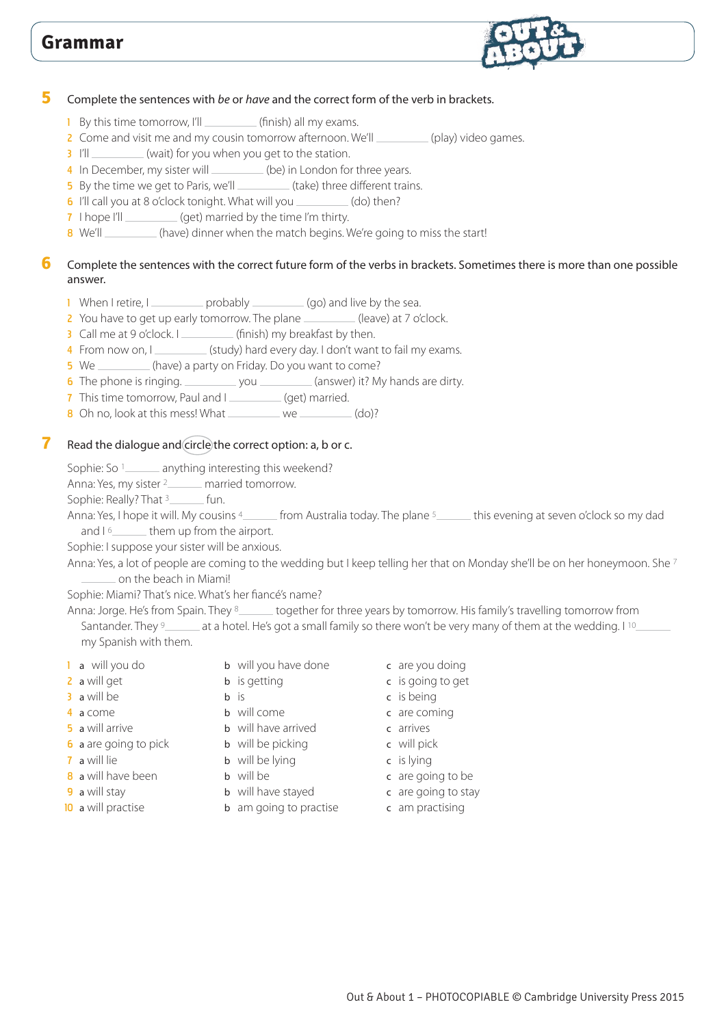

#### **5** Complete the sentences with *be* or *have* and the correct form of the verb in brackets.

- 1 By this time tomorrow, I'll \_\_\_\_\_\_\_\_\_\_\_ (finish) all my exams.
- 2 Come and visit me and my cousin tomorrow afternoon. We'll \_\_\_\_\_\_\_\_\_\_ (play) video games.
- 3 I'll \_\_\_\_\_\_\_\_\_(wait) for you when you get to the station.
- 4 In December, my sister will \_\_\_\_\_\_\_\_(be) in London for three years.
- **5** By the time we get to Paris, we'll **CONSCRIPT (take)** three different trains.
- 6 I'll call you at 8 o'clock tonight. What will you \_\_\_\_\_\_\_\_\_(do) then?
- 7 I hope I'll \_\_\_\_\_\_\_\_\_\_ (get) married by the time I'm thirty.
- 8 We'll \_\_\_\_\_\_\_\_ (have) dinner when the match begins. We're going to miss the start!

#### **6** Complete the sentences with the correct future form of the verbs in brackets. Sometimes there is more than one possible answer.

- 1 When I retire, I probably \_\_\_\_\_\_\_\_\_ (go) and live by the sea.
- 2 You have to get up early tomorrow. The plane (leave) at 7 o'clock.
- 3 Call me at 9 o'clock. I \_\_\_\_\_\_\_\_\_\_\_ (finish) my breakfast by then.
- 4 From now on, I (study) hard every day. I don't want to fail my exams.
- 5 We \_\_\_\_\_\_\_\_(have) a party on Friday. Do you want to come?
- 6 The phone is ringing.  $\frac{1}{2}$  you  $\frac{1}{2}$  (answer) it? My hands are dirty.
- 7 This time tomorrow, Paul and I (get) married.
- 8 Oh no, look at this mess! What  $\frac{1}{2}$  we  $\frac{1}{2}$  (do)?

#### **7** Read the dialogue and circle the correct option: a, b or c.

Sophie: So <sup>1</sup> anything interesting this weekend?

Anna: Yes, my sister <sup>2</sup> married tomorrow.

Sophie: Really? That  $\frac{3}{2}$  fun.

Anna: Yes, I hope it will. My cousins 4 from Australia today. The plane 5 this evening at seven o'clock so my dad and  $16$  them up from the airport.

Sophie: I suppose your sister will be anxious.

Anna: Yes, a lot of people are coming to the wedding but I keep telling her that on Monday she'll be on her honeymoon. She 7 on the beach in Miami!

Sophie: Miami? That's nice. What's her fiancé's name?

Anna: Jorge. He's from Spain. They 8\_\_\_\_\_\_ together for three years by tomorrow. His family's travelling tomorrow from Santander. They <sup>9</sup> at a hotel. He's got a small family so there won't be very many of them at the wedding. I <sup>10</sup> my Spanish with them.

- 
- 
- 3 a will be b is b is c is being
- 
- 
- **6** a are going to pick **b** will be picking **c** will pick
- 
- **8** a will have been **b** will be **c** are going to be
- 
- 
- 1 a will you do b will you have done c are you doing
	-
	-
- 4 a come b will come b c are coming
- **5** a will arrive **b** will have arrived **c** arrives
	-
- **7** a will lie b will be lying c is lying
	-
	-
- 10 a will practise b am going to practise c am practising
- 
- 2 a will get b is getting c is going to get
	-
	-
	-
	-
	-
	-
- **9** a will stay b will have stayed c are going to stay
	-

Out & About 1 – PHOTOCOPIABLE © Cambridge University Press 2015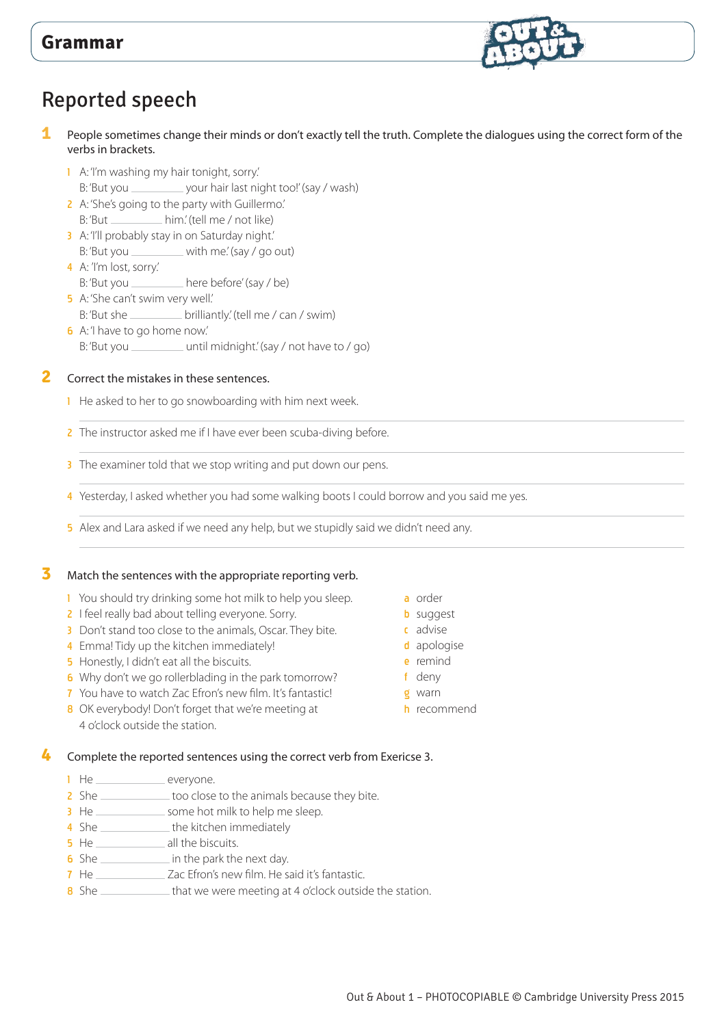

# Reported speech

- **1** People sometimes change their minds or don't exactly tell the truth. Complete the dialogues using the correct form of the verbs in brackets.
	- 1 A: 'I'm washing my hair tonight, sorry.' B: 'But you \_\_\_\_\_\_\_\_\_\_\_ your hair last night too!' (say / wash)
	- 2 A: 'She's going to the party with Guillermo.' B: 'But \_\_\_\_\_\_\_\_\_\_\_ him.' (tell me / not like)
	- 3 A: 'I'll probably stay in on Saturday night.'
	- B:'But you \_\_\_\_\_\_\_\_\_ with me.' (say / go out) 4 A: 'I'm lost, sorry.'
	- B: 'But you \_\_\_\_\_\_\_\_\_\_ here before' (say / be)
	- 5 A: 'She can't swim very well.'  $B:$ 'But she  $\rule{1em}{0.15mm}$  brilliantly.' (tell me / can / swim)
	- 6 A: 'I have to go home now.' B: 'But you \_\_\_\_\_\_\_\_\_\_\_\_ until midnight.' (say / not have to / go)

**2** Correct the mistakes in these sentences.

- <sup>1</sup> He asked to her to go snowboarding with him next week.
- 2 The instructor asked me if I have ever been scuba-diving before.
- 3 The examiner told that we stop writing and put down our pens.
- 4 Yesterday, I asked whether you had some walking boots I could borrow and you said me yes.
- 5 Alex and Lara asked if we need any help, but we stupidly said we didn't need any.

#### **3** Match the sentences with the appropriate reporting verb.

- 1 You should try drinking some hot milk to help you sleep.
- 2 I feel really bad about telling everyone. Sorry.
- 3 Don't stand too close to the animals, Oscar. They bite.
- 4 Emma! Tidy up the kitchen immediately!
- **5** Honestly, I didn't eat all the biscuits.
- 6 Why don't we go rollerblading in the park tomorrow?
- 7 You have to watch Zac Efron's new film. It's fantastic!
- 8 OK everybody! Don't forget that we're meeting at 4 o'clock outside the station.

#### **4** Complete the reported sentences using the correct verb from Exericse 3.

- 1 He everyone.<br>2 She too close
- $\equiv$  too close to the animals because they bite.
- 3 He some hot milk to help me sleep.
- 4 She \_\_\_\_\_\_\_\_\_\_\_\_\_\_\_ the kitchen immediately
- **5** He \_\_\_\_\_\_\_\_\_\_\_\_\_\_\_\_ all the biscuits.
- 6 She in the park the next day.
- 7 He Zac Efron's new film. He said it's fantastic.
- 8 She \_\_\_\_\_\_\_\_\_\_\_\_\_ that we were meeting at 4 o'clock outside the station.
- a order
- **b** suggest
- c advise
- d apologise
	- e remind
- f deny
- g warn
	- h recommend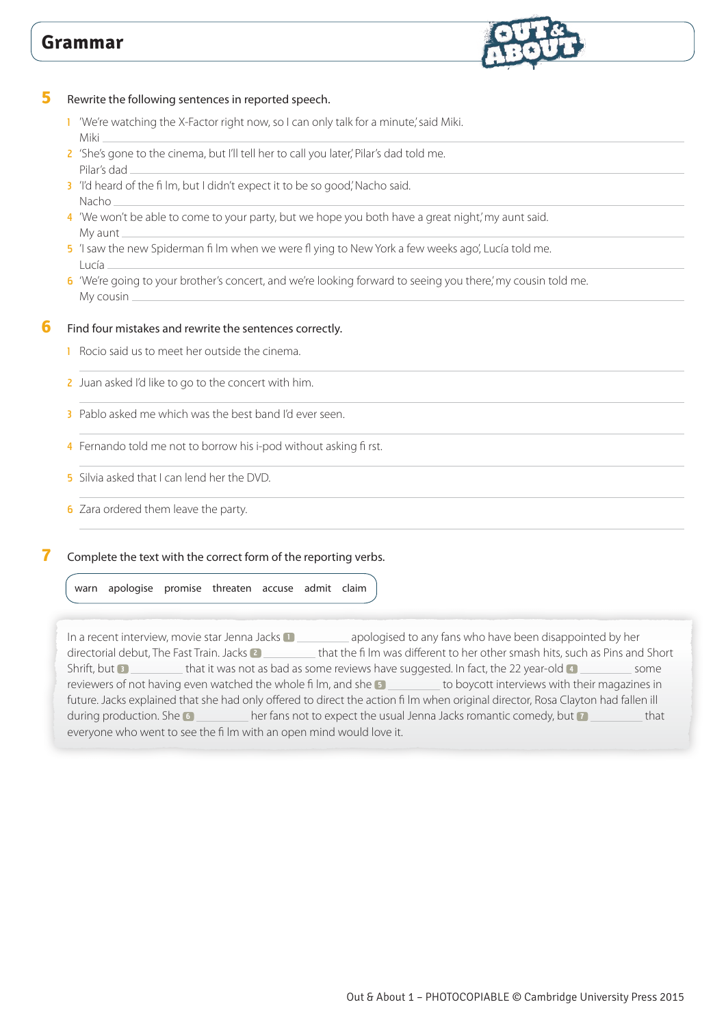

**5** Rewrite the following sentences in reported speech.

- 1 'We're watching the X-Factor right now, so I can only talk for a minute,' said Miki. Miki
- 2 'She's gone to the cinema, but I'll tell her to call you later,' Pilar's dad told me. Pilar's dad
- 3 'I'd heard of the film, but I didn't expect it to be so good,' Nacho said. Nacho
- 4 'We won't be able to come to your party, but we hope you both have a great night,' my aunt said. My aunt
- 5 'I saw the new Spiderman fi lm when we were fl ying to New York a few weeks ago', Lucía told me. Lucía
- 6 'We're going to your brother's concert, and we're looking forward to seeing you there,' my cousin told me. My cousin

#### **6** Find four mistakes and rewrite the sentences correctly.

- 1 Rocio said us to meet her outside the cinema.
- 2 Juan asked I'd like to go to the concert with him.
- 3 Pablo asked me which was the best band I'd ever seen.
- 4 Fernando told me not to borrow his i-pod without asking fi rst.
- 5 Silvia asked that I can lend her the DVD.
- **6** Zara ordered them leave the party.

#### **7** Complete the text with the correct form of the reporting verbs.

warn apologise promise threaten accuse admit claim

In a recent interview, movie star Jenna Jacks **1 10 and Separated to any fans who have been disappointed by her** directorial debut, The Fast Train. Jacks **2** that the fi lm was different to her other smash hits, such as Pins and Short Shrift, but **3** that it was not as bad as some reviews have suggested. In fact, the 22 year-old **4** some reviewers of not having even watched the whole film, and she **5** to boycott interviews with their magazines in future. Jacks explained that she had only offered to direct the action fi lm when original director, Rosa Clayton had fallen ill during production. She **6** her fans not to expect the usual Jenna Jacks romantic comedy, but **7** that everyone who went to see the fi lm with an open mind would love it.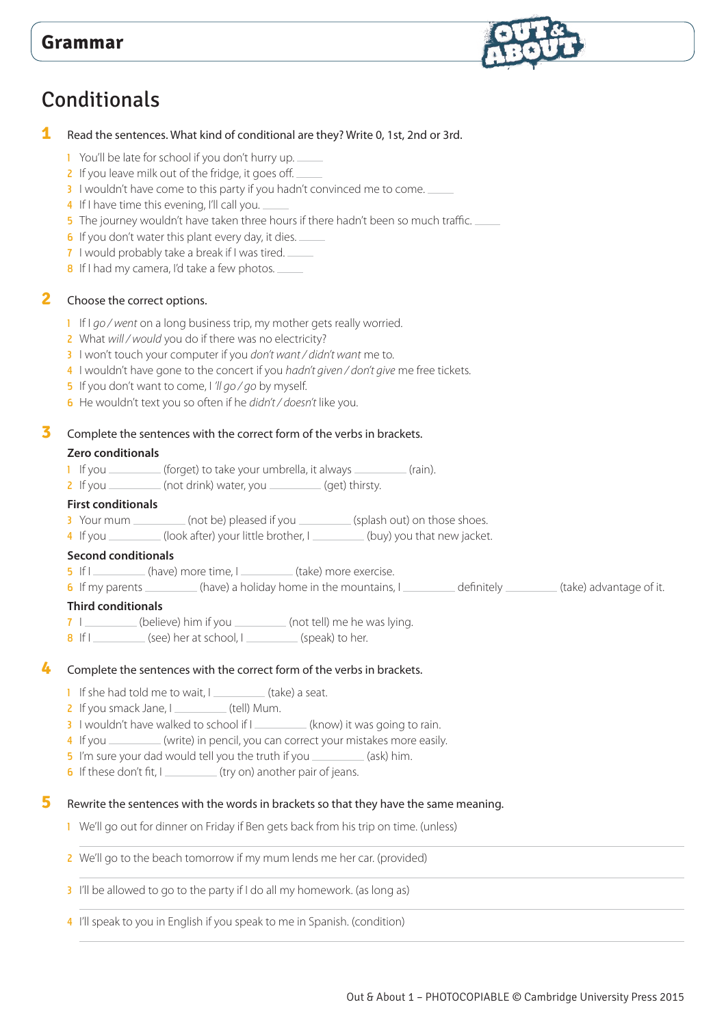

# Conditionals

#### **1** Read the sentences. What kind of conditional are they? Write 0, 1st, 2nd or 3rd.

- 1 You'll be late for school if you don't hurry up.
- 2 If you leave milk out of the fridge, it goes off.
- 3 I wouldn't have come to this party if you hadn't convinced me to come.
- 4 If I have time this evening, I'll call you.
- 5 The journey wouldn't have taken three hours if there hadn't been so much traffic.
- 6 If you don't water this plant every day, it dies.
- 7 I would probably take a break if I was tired.
- 8 If I had my camera, I'd take a few photos.

#### **2** Choose the correct options.

- 1 If I *go / went* on a long business trip, my mother gets really worried.
- 2 What *will / would* you do if there was no electricity?
- 3 I won't touch your computer if you *don't want / didn't want* me to.
- 4 I wouldn't have gone to the concert if you *hadn't given / don't give* me free tickets.
- 5 If you don't want to come, I *'ll go / go* by myself.
- 6 He wouldn't text you so often if he *didn't / doesn't* like you.

#### **3** Complete the sentences with the correct form of the verbs in brackets.

#### **Zero conditionals**

- 1 If you \_\_\_\_\_\_\_(forget) to take your umbrella, it always \_\_\_\_\_\_\_(rain).
- 2 If you \_\_\_\_\_\_\_\_ (not drink) water, you \_\_\_\_\_\_\_\_ (get) thirsty.

#### **First conditionals**

- 3 Your mum \_\_\_\_\_\_\_\_\_\_ (not be) pleased if you \_\_\_\_\_\_\_\_\_\_ (splash out) on those shoes.
- 1 If you <u>Command (look after</u>) your little brother, I (buy) you that new jacket.

#### **Second conditionals**

- 5 If I (have) more time, I (take) more exercise.
- 6 If my parents \_\_\_\_\_\_\_\_\_\_(have) a holiday home in the mountains, I \_\_\_\_\_\_\_\_\_\_\_ definitely \_\_\_\_\_\_\_\_\_(take) advantage of it.

#### **Third conditionals**

- 7 | \_\_\_\_\_\_\_\_\_ (believe) him if you \_\_\_\_\_\_\_\_\_\_ (not tell) me he was lying.
- $\frac{1}{8}$  If I  $\frac{1}{8}$  (see) her at school, I  $\frac{1}{8}$  (speak) to her.

#### **4** Complete the sentences with the correct form of the verbs in brackets.

- $\blacksquare$  If she had told me to wait,  $\blacksquare$  (take) a seat.
- 2 If you smack Jane, I (tell) Mum.
- 3 I wouldn't have walked to school if I \_\_\_\_\_\_\_\_\_ (know) it was going to rain.
- 4 If you \_\_\_\_\_\_\_\_\_ (write) in pencil, you can correct your mistakes more easily.
- 5 I'm sure your dad would tell you the truth if you \_\_\_\_\_\_\_\_ (ask) him.
- 6 If these don't fit,  $I_{\text{max}}$  (try on) another pair of jeans.

#### **5** Rewrite the sentences with the words in brackets so that they have the same meaning.

- 1 We'll go out for dinner on Friday if Ben gets back from his trip on time. (unless)
- 2 We'll go to the beach tomorrow if my mum lends me her car. (provided)
- 3 I'll be allowed to go to the party if I do all my homework. (as long as)
- 4 I'll speak to you in English if you speak to me in Spanish. (condition)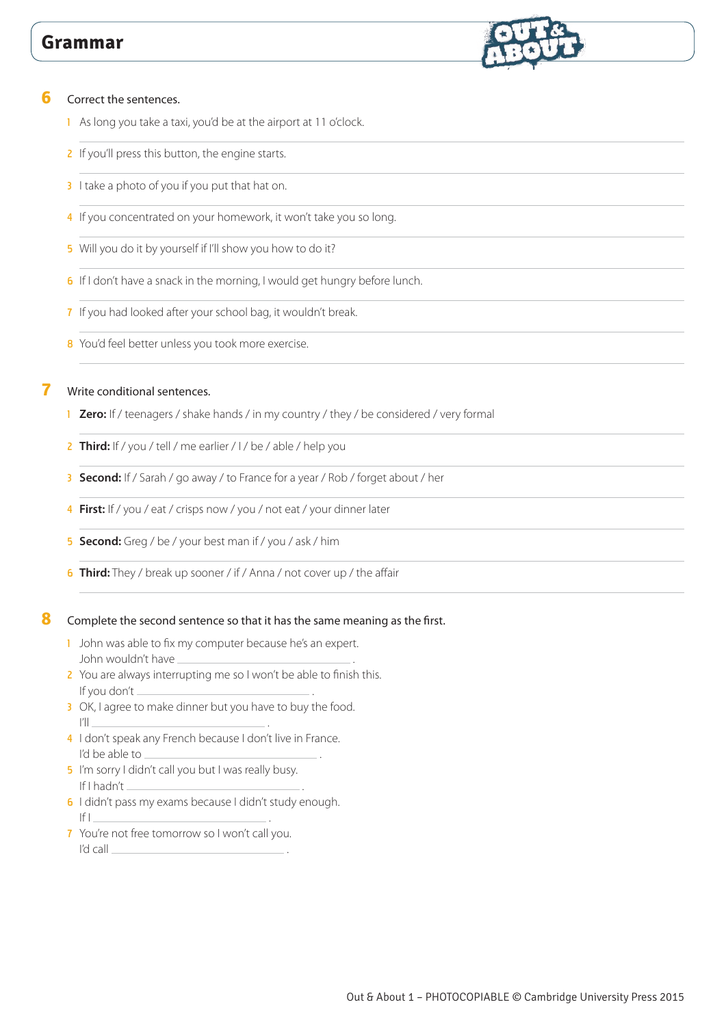

#### **6** Correct the sentences.

- 1 As long you take a taxi, you'd be at the airport at 11 o'clock.
- 2 If you'll press this button, the engine starts.
- 3 I take a photo of you if you put that hat on.
- 4 If you concentrated on your homework, it won't take you so long.
- 5 Will you do it by yourself if I'll show you how to do it?
- 6 If I don't have a snack in the morning, I would get hungry before lunch.
- 7 If you had looked after your school bag, it wouldn't break.
- 8 You'd feel better unless you took more exercise.

#### **7** Write conditional sentences.

- 1 **Zero:** If / teenagers / shake hands / in my country / they / be considered / very formal
- 2 **Third:** If / you / tell / me earlier / I / be / able / help you
- 3 **Second:** If / Sarah / go away / to France for a year / Rob / forget about / her
- 4 **First:** If / you / eat / crisps now / you / not eat / your dinner later
- 5 **Second:** Greg / be / your best man if / you / ask / him
- 6 **Third:** They / break up sooner / if / Anna / not cover up / the affair

#### **8** Complete the second sentence so that it has the same meaning as the first.

- 1 John was able to fix my computer because he's an expert. John wouldn't have .
- 2 You are always interrupting me so I won't be able to finish this. If you don't .
- 3 OK, I agree to make dinner but you have to buy the food. I'll .
- 4 I don't speak any French because I don't live in France. I'd be able to
- 5 I'm sorry I didn't call you but I was really busy. If I hadn't \_
- 6 I didn't pass my exams because I didn't study enough. If I .
- 7 You're not free tomorrow so I won't call you. I'd call .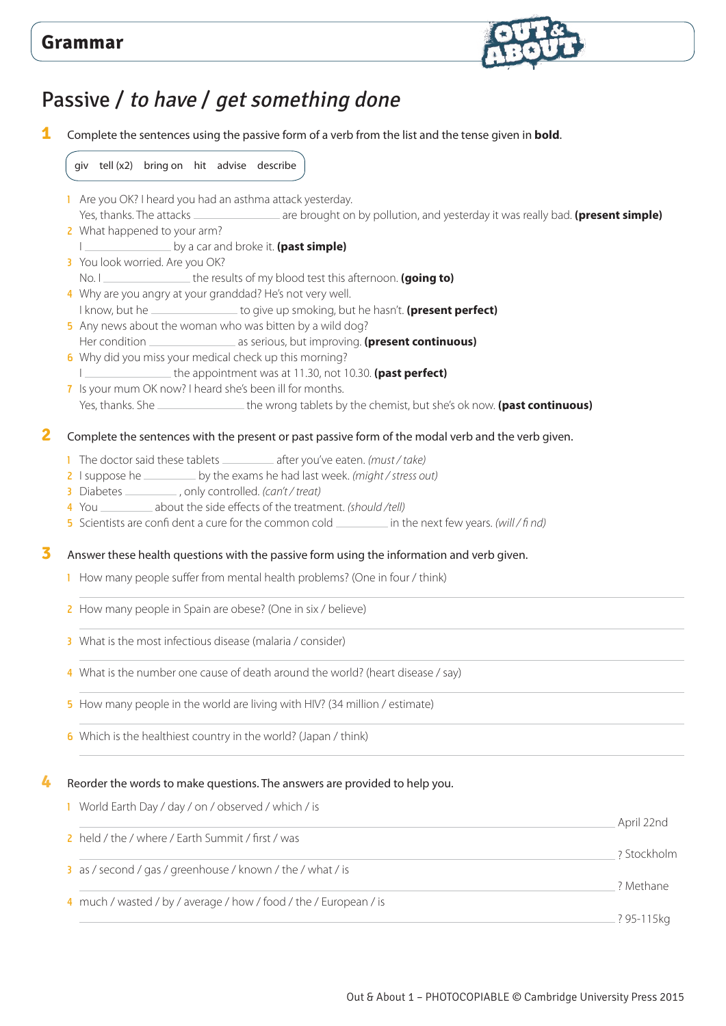

## Passive / to have / get something done

**1** Complete the sentences using the passive form of a verb from the list and the tense given in **bold**.

giv tell (x2) bring on hit advise describe

- 1 Are you OK? I heard you had an asthma attack yesterday. Yes, thanks. The attacks **are are brought on by pollution, and yesterday it was really bad. (present simple)**
- 2 What happened to your arm? I **interest and broke it. (past simple)**
- 3 You look worried. Are you OK?
- No. I <u>see the results of my blood test this afternoon</u>. **(going to)**
- 4 Why are you angry at your granddad? He's not very well.
- I know, but he **the superiories of give up smoking, but he hasn't.** (**present perfect**)
- 5 Any news about the woman who was bitten by a wild dog? Her condition **and all as serious**, but improving. **(present continuous)**
- 6 Why did you miss your medical check up this morning? I **I** the appointment was at 11.30, not 10.30. (past perfect)
- 7 Is your mum OK now? I heard she's been ill for months. Yes, thanks. She **the wrong tablets by the chemist**, but she's ok now. **(past continuous)**

#### **2** Complete the sentences with the present or past passive form of the modal verb and the verb given.

- 1 The doctor said these tablets \_\_\_\_\_\_\_\_\_\_\_ after you've eaten. *(must / take)*
- 2 I suppose he same by the exams he had last week. *(might / stress out)*
- 3 Diabetes , only controlled. *(can't / treat)*
- 4 You about the side effects of the treatment. *(should /tell)*
- 5 Scientists are confi dent a cure for the common cold in the next few years. *(will / fi nd)*

**3** Answer these health questions with the passive form using the information and verb given.

- 1 How many people suffer from mental health problems? (One in four / think)
- 2 How many people in Spain are obese? (One in six / believe)
- 3 What is the most infectious disease (malaria / consider)
- 4 What is the number one cause of death around the world? (heart disease / say)
- 5 How many people in the world are living with HIV? (34 million / estimate)
- 6 Which is the healthiest country in the world? (Japan / think)

#### **4** Reorder the words to make questions. The answers are provided to help you.

1 World Earth Day / day / on / observed / which / is

|                                                                   | April 22nd   |
|-------------------------------------------------------------------|--------------|
| 2 held / the / where / Earth Summit / first / was                 |              |
|                                                                   | 2 Stockholm  |
| 3 as / second / gas / greenhouse / known / the / what / is        |              |
|                                                                   | 2 Methane    |
| 4 much / wasted / by / average / how / food / the / European / is |              |
|                                                                   | . ? 95-115kg |